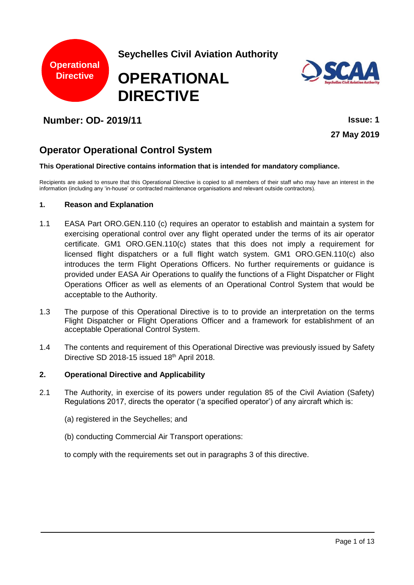

**Seychelles Civil Aviation Authority**

# **OPERATIONAL DIRECTIVE**



# **Number: OD- 2019/11 Issue: 1**

**27 May 2019**

# **Operator Operational Control System**

#### **This Operational Directive contains information that is intended for mandatory compliance.**

Recipients are asked to ensure that this Operational Directive is copied to all members of their staff who may have an interest in the information (including any 'in-house' or contracted maintenance organisations and relevant outside contractors).

#### **1. Reason and Explanation**

- 1.1 EASA Part ORO.GEN.110 (c) requires an operator to establish and maintain a system for exercising operational control over any flight operated under the terms of its air operator certificate. GM1 ORO.GEN.110(c) states that this does not imply a requirement for licensed flight dispatchers or a full flight watch system. GM1 ORO.GEN.110(c) also introduces the term Flight Operations Officers. No further requirements or guidance is provided under EASA Air Operations to qualify the functions of a Flight Dispatcher or Flight Operations Officer as well as elements of an Operational Control System that would be acceptable to the Authority.
- 1.3 The purpose of this Operational Directive is to to provide an interpretation on the terms Flight Dispatcher or Flight Operations Officer and a framework for establishment of an acceptable Operational Control System.
- 1.4 The contents and requirement of this Operational Directive was previously issued by Safety Directive SD 2018-15 issued 18th April 2018.

#### **2. Operational Directive and Applicability**

- 2.1 The Authority, in exercise of its powers under regulation 85 of the Civil Aviation (Safety) Regulations 2017, directs the operator ('a specified operator') of any aircraft which is:
	- (a) registered in the Seychelles; and
	- (b) conducting Commercial Air Transport operations:

to comply with the requirements set out in paragraphs 3 of this directive.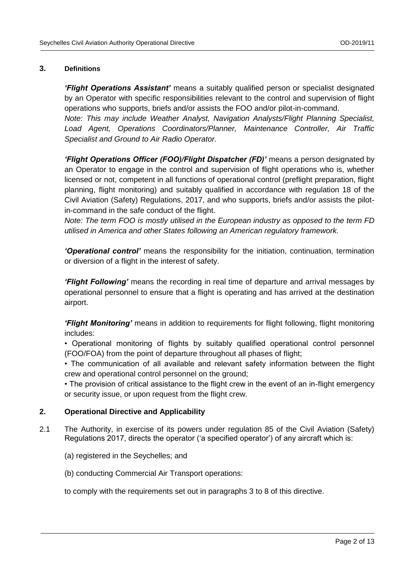#### **3. Definitions**

*'Flight Operations Assistant'* means a suitably qualified person or specialist designated by an Operator with specific responsibilities relevant to the control and supervision of flight operations who supports, briefs and/or assists the FOO and/or pilot-in-command. *Note: This may include Weather Analyst, Navigation Analysts/Flight Planning Specialist, Load Agent, Operations Coordinators/Planner, Maintenance Controller, Air Traffic Specialist and Ground to Air Radio Operator.*

*'Flight Operations Officer (FOO)/Flight Dispatcher (FD)'* means a person designated by an Operator to engage in the control and supervision of flight operations who is, whether licensed or not, competent in all functions of operational control (preflight preparation, flight planning, flight monitoring) and suitably qualified in accordance with regulation 18 of the Civil Aviation (Safety) Regulations, 2017, and who supports, briefs and/or assists the pilotin-command in the safe conduct of the flight.

*Note: The term FOO is mostly utilised in the European industry as opposed to the term FD utilised in America and other States following an American regulatory framework.*

*'Operational control'* means the responsibility for the initiation, continuation, termination or diversion of a flight in the interest of safety.

*'Flight Following'* means the recording in real time of departure and arrival messages by operational personnel to ensure that a flight is operating and has arrived at the destination airport.

*'Flight Monitoring'* means in addition to requirements for flight following, flight monitoring includes:

• Operational monitoring of flights by suitably qualified operational control personnel (FOO/FOA) from the point of departure throughout all phases of flight;

• The communication of all available and relevant safety information between the flight crew and operational control personnel on the ground;

• The provision of critical assistance to the flight crew in the event of an in-flight emergency or security issue, or upon request from the flight crew.

#### **2. Operational Directive and Applicability**

- 2.1 The Authority, in exercise of its powers under regulation 85 of the Civil Aviation (Safety) Regulations 2017, directs the operator ('a specified operator') of any aircraft which is:
	- (a) registered in the Seychelles; and
	- (b) conducting Commercial Air Transport operations:

to comply with the requirements set out in paragraphs 3 to 8 of this directive.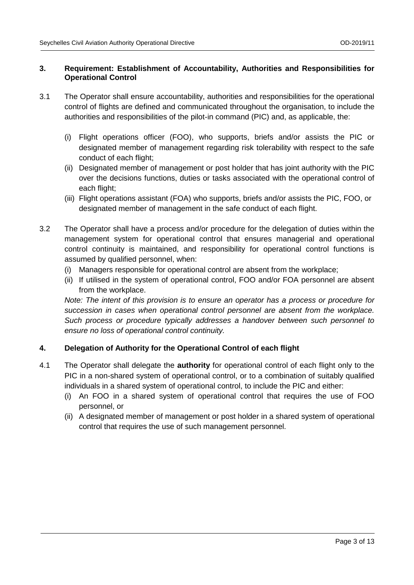#### **3. Requirement: Establishment of Accountability, Authorities and Responsibilities for Operational Control**

- 3.1 The Operator shall ensure accountability, authorities and responsibilities for the operational control of flights are defined and communicated throughout the organisation, to include the authorities and responsibilities of the pilot-in command (PIC) and, as applicable, the:
	- (i) Flight operations officer (FOO), who supports, briefs and/or assists the PIC or designated member of management regarding risk tolerability with respect to the safe conduct of each flight;
	- (ii) Designated member of management or post holder that has joint authority with the PIC over the decisions functions, duties or tasks associated with the operational control of each flight;
	- (iii) Flight operations assistant (FOA) who supports, briefs and/or assists the PIC, FOO, or designated member of management in the safe conduct of each flight.
- 3.2 The Operator shall have a process and/or procedure for the delegation of duties within the management system for operational control that ensures managerial and operational control continuity is maintained, and responsibility for operational control functions is assumed by qualified personnel, when:
	- (i) Managers responsible for operational control are absent from the workplace;
	- (ii) If utilised in the system of operational control, FOO and/or FOA personnel are absent from the workplace.

*Note: The intent of this provision is to ensure an operator has a process or procedure for succession in cases when operational control personnel are absent from the workplace. Such process or procedure typically addresses a handover between such personnel to ensure no loss of operational control continuity.*

#### **4. Delegation of Authority for the Operational Control of each flight**

- 4.1 The Operator shall delegate the **authority** for operational control of each flight only to the PIC in a non-shared system of operational control, or to a combination of suitably qualified individuals in a shared system of operational control, to include the PIC and either:
	- (i) An FOO in a shared system of operational control that requires the use of FOO personnel, or
	- (ii) A designated member of management or post holder in a shared system of operational control that requires the use of such management personnel.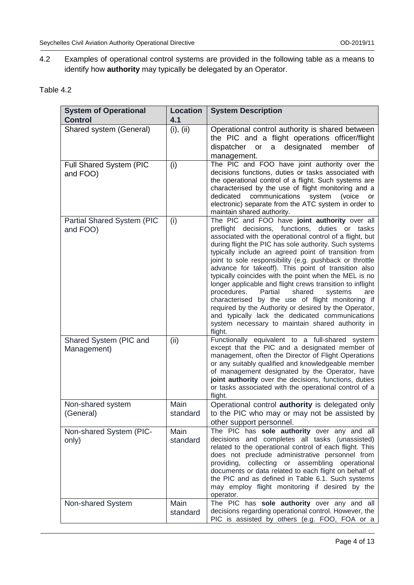4.2 Examples of operational control systems are provided in the following table as a means to identify how **authority** may typically be delegated by an Operator.

| Table 4.2 |  |
|-----------|--|
|-----------|--|

| <b>System of Operational</b><br><b>Control</b> | <b>Location</b><br>4.1 | <b>System Description</b>                                                                                                                                                                                                                                                                                                                                                                                                                                                                                                                                                                                                                                                                                                                                                                                   |
|------------------------------------------------|------------------------|-------------------------------------------------------------------------------------------------------------------------------------------------------------------------------------------------------------------------------------------------------------------------------------------------------------------------------------------------------------------------------------------------------------------------------------------------------------------------------------------------------------------------------------------------------------------------------------------------------------------------------------------------------------------------------------------------------------------------------------------------------------------------------------------------------------|
| Shared system (General)                        | (i), (ii)              | Operational control authority is shared between<br>the PIC and a flight operations officer/flight<br>member<br>a designated<br>dispatcher or<br>of<br>management.                                                                                                                                                                                                                                                                                                                                                                                                                                                                                                                                                                                                                                           |
| Full Shared System (PIC<br>and FOO)            | (i)                    | The PIC and FOO have joint authority over the<br>decisions functions, duties or tasks associated with<br>the operational control of a flight. Such systems are<br>characterised by the use of flight monitoring and a<br>communications<br>dedicated<br>system<br>(voice<br>or<br>electronic) separate from the ATC system in order to<br>maintain shared authority.                                                                                                                                                                                                                                                                                                                                                                                                                                        |
| Partial Shared System (PIC<br>and FOO)         | (i)                    | The PIC and FOO have joint authority over all<br>preflight decisions, functions, duties or tasks<br>associated with the operational control of a flight, but<br>during flight the PIC has sole authority. Such systems<br>typically include an agreed point of transition from<br>joint to sole responsibility (e.g. pushback or throttle<br>advance for takeoff). This point of transition also<br>typically coincides with the point when the MEL is no<br>longer applicable and flight crews transition to inflight<br>procedures.<br>Partial<br>shared<br>systems<br>are<br>characterised by the use of flight monitoring if<br>required by the Authority or desired by the Operator,<br>and typically lack the dedicated communications<br>system necessary to maintain shared authority in<br>flight. |
| Shared System (PIC and<br>Management)          | (ii)                   | Functionally equivalent to a full-shared system<br>except that the PIC and a designated member of<br>management, often the Director of Flight Operations<br>or any suitably qualified and knowledgeable member<br>of management designated by the Operator, have<br>joint authority over the decisions, functions, duties<br>or tasks associated with the operational control of a<br>flight.                                                                                                                                                                                                                                                                                                                                                                                                               |
| Non-shared system<br>(General)                 | Main<br>standard       | Operational control <b>authority</b> is delegated only<br>to the PIC who may or may not be assisted by<br>other support personnel.                                                                                                                                                                                                                                                                                                                                                                                                                                                                                                                                                                                                                                                                          |
| Non-shared System (PIC-<br>only)               | Main<br>standard       | The PIC has sole authority over any and all<br>decisions and completes all tasks (unassisted)<br>related to the operational control of each flight. This<br>does not preclude administrative personnel from<br>providing, collecting or assembling operational<br>documents or data related to each flight on behalf of<br>the PIC and as defined in Table 6.1. Such systems<br>may employ flight monitoring if desired by the<br>operator.                                                                                                                                                                                                                                                                                                                                                                 |
| Non-shared System                              | Main<br>standard       | The PIC has sole authority over any and all<br>decisions regarding operational control. However, the<br>PIC is assisted by others (e.g. FOO, FOA or a                                                                                                                                                                                                                                                                                                                                                                                                                                                                                                                                                                                                                                                       |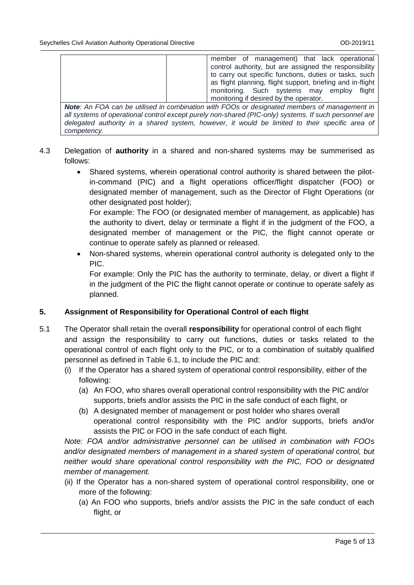member of management) that lack operational control authority, but are assigned the responsibility to carry out specific functions, duties or tasks, such as flight planning, flight support, briefing and in-flight monitoring. Such systems may employ flight monitoring if desired by the operator.

*Note*: *An FOA can be utilised in combination with FOOs or designated members of management in all systems of operational control except purely non-shared (PIC-only) systems. If such personnel are delegated authority in a shared system, however, it would be limited to their specific area of competency.*

- 4.3 Delegation of **authority** in a shared and non-shared systems may be summerised as follows:
	- Shared systems, wherein operational control authority is shared between the pilotin-command (PIC) and a flight operations officer/flight dispatcher (FOO) or designated member of management, such as the Director of Flight Operations (or other designated post holder);

For example: The FOO (or designated member of management, as applicable) has the authority to divert, delay or terminate a flight if in the judgment of the FOO, a designated member of management or the PIC, the flight cannot operate or continue to operate safely as planned or released.

• Non-shared systems, wherein operational control authority is delegated only to the PIC.

For example: Only the PIC has the authority to terminate, delay, or divert a flight if in the judgment of the PIC the flight cannot operate or continue to operate safely as planned.

#### **5. Assignment of Responsibility for Operational Control of each flight**

- 5.1 The Operator shall retain the overall **responsibility** for operational control of each flight and assign the responsibility to carry out functions, duties or tasks related to the operational control of each flight only to the PIC, or to a combination of suitably qualified personnel as defined in Table 6.1, to include the PIC and:
	- (i) If the Operator has a shared system of operational control responsibility, either of the following:
		- (a) An FOO, who shares overall operational control responsibility with the PIC and/or supports, briefs and/or assists the PIC in the safe conduct of each flight, or
		- (b) A designated member of management or post holder who shares overall operational control responsibility with the PIC and/or supports, briefs and/or assists the PIC or FOO in the safe conduct of each flight.

*Note: FOA and/or administrative personnel can be utilised in combination with FOOs and/or designated members of management in a shared system of operational control, but neither would share operational control responsibility with the PIC, FOO or designated member of management.*

- (ii) If the Operator has a non-shared system of operational control responsibility, one or more of the following:
	- (a) An FOO who supports, briefs and/or assists the PIC in the safe conduct of each flight, or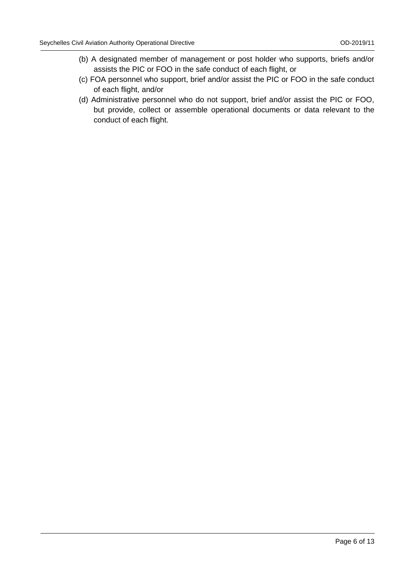- (b) A designated member of management or post holder who supports, briefs and/or assists the PIC or FOO in the safe conduct of each flight, or
- (c) FOA personnel who support, brief and/or assist the PIC or FOO in the safe conduct of each flight, and/or
- (d) Administrative personnel who do not support, brief and/or assist the PIC or FOO, but provide, collect or assemble operational documents or data relevant to the conduct of each flight.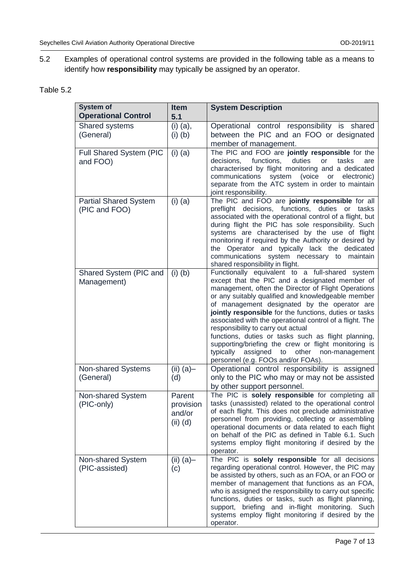5.2 Examples of operational control systems are provided in the following table as a means to identify how **responsibility** may typically be assigned by an operator.

| Table 5.2 |  |
|-----------|--|
|-----------|--|

| <b>System of</b><br><b>Operational Control</b> | <b>Item</b><br>5.1                            | <b>System Description</b>                                                                                                                                                                                                                                                                                                                                                                                                                                                                                                                                                                                                                 |  |  |  |
|------------------------------------------------|-----------------------------------------------|-------------------------------------------------------------------------------------------------------------------------------------------------------------------------------------------------------------------------------------------------------------------------------------------------------------------------------------------------------------------------------------------------------------------------------------------------------------------------------------------------------------------------------------------------------------------------------------------------------------------------------------------|--|--|--|
| Shared systems<br>(General)                    | $(i)$ $(a)$ ,<br>$(i)$ $(b)$                  | Operational control responsibility is shared<br>between the PIC and an FOO or designated<br>member of management.                                                                                                                                                                                                                                                                                                                                                                                                                                                                                                                         |  |  |  |
| Full Shared System (PIC<br>and FOO)            | $(i)$ (a)                                     | The PIC and FOO are jointly responsible for the<br>functions,<br>decisions,<br>duties<br>or<br>tasks<br>are<br>characterised by flight monitoring and a dedicated<br>communications<br>system<br>(voice<br>or<br>electronic)<br>separate from the ATC system in order to maintain<br>joint responsibility.                                                                                                                                                                                                                                                                                                                                |  |  |  |
| <b>Partial Shared System</b><br>(PIC and FOO)  | $(i)$ (a)                                     | The PIC and FOO are jointly responsible for all<br>preflight decisions, functions, duties or tasks<br>associated with the operational control of a flight, but<br>during flight the PIC has sole responsibility. Such<br>systems are characterised by the use of flight<br>monitoring if required by the Authority or desired by<br>the Operator and typically lack the dedicated<br>communications system necessary to maintain<br>shared responsibility in flight.                                                                                                                                                                      |  |  |  |
| Shared System (PIC and<br>Management)          | $(i)$ $(b)$                                   | Functionally equivalent to a full-shared system<br>except that the PIC and a designated member of<br>management, often the Director of Flight Operations<br>or any suitably qualified and knowledgeable member<br>of management designated by the operator are<br>jointly responsible for the functions, duties or tasks<br>associated with the operational control of a flight. The<br>responsibility to carry out actual<br>functions, duties or tasks such as flight planning,<br>supporting/briefing the crew or flight monitoring is<br>typically<br>assigned<br>to<br>other<br>non-management<br>personnel (e.g. FOOs and/or FOAs). |  |  |  |
| Non-shared Systems<br>(General)                | $(ii)$ (a)-<br>(d)                            | Operational control responsibility is assigned<br>only to the PIC who may or may not be assisted<br>by other support personnel.                                                                                                                                                                                                                                                                                                                                                                                                                                                                                                           |  |  |  |
| Non-shared System<br>(PIC-only)                | Parent<br>provision<br>and/or<br>$(ii)$ $(d)$ | The PIC is solely responsible for completing all<br>tasks (unassisted) related to the operational control<br>of each flight. This does not preclude administrative<br>personnel from providing, collecting or assembling<br>operational documents or data related to each flight<br>on behalf of the PIC as defined in Table 6.1. Such<br>systems employ flight monitoring if desired by the<br>operator.                                                                                                                                                                                                                                 |  |  |  |
| Non-shared System<br>(PIC-assisted)            | (ii) $(a)$<br>(c)                             | The PIC is solely responsible for all decisions<br>regarding operational control. However, the PIC may<br>be assisted by others, such as an FOA, or an FOO or<br>member of management that functions as an FOA,<br>who is assigned the responsibility to carry out specific<br>functions, duties or tasks, such as flight planning,<br>support, briefing and in-flight monitoring.<br>Such<br>systems employ flight monitoring if desired by the<br>operator.                                                                                                                                                                             |  |  |  |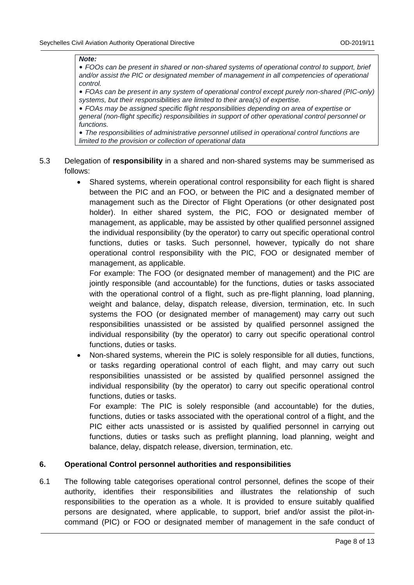#### *Note:*

• *FOOs can be present in shared or non-shared systems of operational control to support, brief and/or assist the PIC or designated member of management in all competencies of operational control.*

• *FOAs can be present in any system of operational control except purely non-shared (PIC-only) systems, but their responsibilities are limited to their area(s) of expertise.*

• *FOAs may be assigned specific flight responsibilities depending on area of expertise or general (non-flight specific) responsibilities in support of other operational control personnel or functions.*

• *The responsibilities of administrative personnel utilised in operational control functions are limited to the provision or collection of operational data*

- 5.3 Delegation of **responsibility** in a shared and non-shared systems may be summerised as follows:
	- Shared systems, wherein operational control responsibility for each flight is shared between the PIC and an FOO, or between the PIC and a designated member of management such as the Director of Flight Operations (or other designated post holder). In either shared system, the PIC, FOO or designated member of management, as applicable, may be assisted by other qualified personnel assigned the individual responsibility (by the operator) to carry out specific operational control functions, duties or tasks. Such personnel, however, typically do not share operational control responsibility with the PIC, FOO or designated member of management, as applicable.

For example: The FOO (or designated member of management) and the PIC are jointly responsible (and accountable) for the functions, duties or tasks associated with the operational control of a flight, such as pre-flight planning, load planning, weight and balance, delay, dispatch release, diversion, termination, etc. In such systems the FOO (or designated member of management) may carry out such responsibilities unassisted or be assisted by qualified personnel assigned the individual responsibility (by the operator) to carry out specific operational control functions, duties or tasks.

• Non-shared systems, wherein the PIC is solely responsible for all duties, functions, or tasks regarding operational control of each flight, and may carry out such responsibilities unassisted or be assisted by qualified personnel assigned the individual responsibility (by the operator) to carry out specific operational control functions, duties or tasks.

For example: The PIC is solely responsible (and accountable) for the duties, functions, duties or tasks associated with the operational control of a flight, and the PIC either acts unassisted or is assisted by qualified personnel in carrying out functions, duties or tasks such as preflight planning, load planning, weight and balance, delay, dispatch release, diversion, termination, etc.

#### **6. Operational Control personnel authorities and responsibilities**

6.1 The following table categorises operational control personnel, defines the scope of their authority, identifies their responsibilities and illustrates the relationship of such responsibilities to the operation as a whole. It is provided to ensure suitably qualified persons are designated, where applicable, to support, brief and/or assist the pilot-incommand (PIC) or FOO or designated member of management in the safe conduct of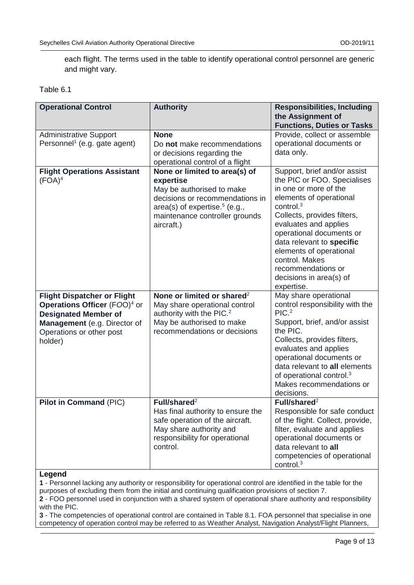each flight. The terms used in the table to identify operational control personnel are generic and might vary.

#### Table 6.1

| <b>Operational Control</b>                                                                                                                                                                  | <b>Authority</b>                                                                                                                                                                               | <b>Responsibilities, Including</b>                                                                                                                                                                                                                                                                                                                           |  |
|---------------------------------------------------------------------------------------------------------------------------------------------------------------------------------------------|------------------------------------------------------------------------------------------------------------------------------------------------------------------------------------------------|--------------------------------------------------------------------------------------------------------------------------------------------------------------------------------------------------------------------------------------------------------------------------------------------------------------------------------------------------------------|--|
|                                                                                                                                                                                             |                                                                                                                                                                                                | the Assignment of                                                                                                                                                                                                                                                                                                                                            |  |
|                                                                                                                                                                                             |                                                                                                                                                                                                | <b>Functions, Duties or Tasks</b>                                                                                                                                                                                                                                                                                                                            |  |
| <b>Administrative Support</b><br>Personnel <sup>1</sup> (e.g. gate agent)                                                                                                                   | <b>None</b><br>Do not make recommendations<br>or decisions regarding the<br>operational control of a flight                                                                                    | Provide, collect or assemble<br>operational documents or<br>data only.                                                                                                                                                                                                                                                                                       |  |
| <b>Flight Operations Assistant</b><br>$(FOA)^4$                                                                                                                                             | None or limited to area(s) of<br>expertise<br>May be authorised to make<br>decisions or recommendations in<br>area(s) of expertise. $5$ (e.g.,<br>maintenance controller grounds<br>aircraft.) | Support, brief and/or assist<br>the PIC or FOO. Specialises<br>in one or more of the<br>elements of operational<br>control. $3$<br>Collects, provides filters,<br>evaluates and applies<br>operational documents or<br>data relevant to specific<br>elements of operational<br>control. Makes<br>recommendations or<br>decisions in area(s) of<br>expertise. |  |
| <b>Flight Dispatcher or Flight</b><br><b>Operations Officer</b> (FOO) <sup>4</sup> or<br><b>Designated Member of</b><br>Management (e.g. Director of<br>Operations or other post<br>holder) | None or limited or shared <sup>2</sup><br>May share operational control<br>authority with the PIC. <sup>2</sup><br>May be authorised to make<br>recommendations or decisions                   | May share operational<br>control responsibility with the<br>PIC. <sup>2</sup><br>Support, brief, and/or assist<br>the PIC.<br>Collects, provides filters,<br>evaluates and applies<br>operational documents or<br>data relevant to all elements<br>of operational control. <sup>3</sup><br>Makes recommendations or<br>decisions.                            |  |
| Pilot in Command (PIC)                                                                                                                                                                      | Full/shared $2$<br>Has final authority to ensure the<br>safe operation of the aircraft.<br>May share authority and<br>responsibility for operational<br>control.                               | Full/shared $2$<br>Responsible for safe conduct<br>of the flight. Collect, provide,<br>filter, evaluate and applies<br>operational documents or<br>data relevant to all<br>competencies of operational<br>control. $3$                                                                                                                                       |  |

#### **Legend**

**1** - Personnel lacking any authority or responsibility for operational control are identified in the table for the purposes of excluding them from the initial and continuing qualification provisions of section 7. **2** - FOO personnel used in conjunction with a shared system of operational share authority and responsibility with the PIC.

**3** - The competencies of operational control are contained in Table 8.1. FOA personnel that specialise in one competency of operation control may be referred to as Weather Analyst, Navigation Analyst/Flight Planners,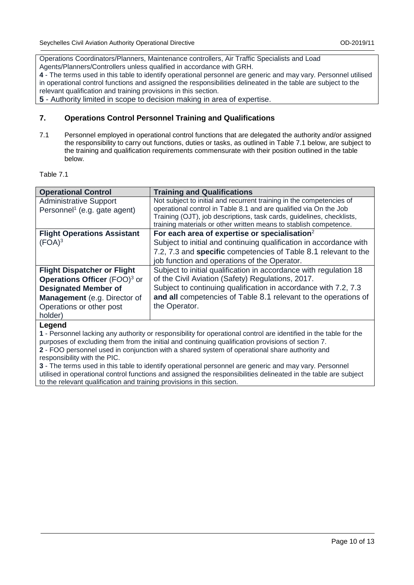Operations Coordinators/Planners, Maintenance controllers, Air Traffic Specialists and Load Agents/Planners/Controllers unless qualified in accordance with GRH.

**4** - The terms used in this table to identify operational personnel are generic and may vary. Personnel utilised in operational control functions and assigned the responsibilities delineated in the table are subject to the relevant qualification and training provisions in this section.

**5** - Authority limited in scope to decision making in area of expertise.

#### **7. Operations Control Personnel Training and Qualifications**

7.1 Personnel employed in operational control functions that are delegated the authority and/or assigned the responsibility to carry out functions, duties or tasks, as outlined in Table 7.1 below, are subject to the training and qualification requirements commensurate with their position outlined in the table below.

#### Table 7.1

| <b>Operational Control</b>                      | <b>Training and Qualifications</b>                                                                                                         |
|-------------------------------------------------|--------------------------------------------------------------------------------------------------------------------------------------------|
| <b>Administrative Support</b>                   | Not subject to initial and recurrent training in the competencies of                                                                       |
| Personnel <sup>1</sup> (e.g. gate agent)        | operational control in Table 8.1 and are qualified via On the Job<br>Training (OJT), job descriptions, task cards, guidelines, checklists, |
|                                                 | training materials or other written means to stablish competence.                                                                          |
| <b>Flight Operations Assistant</b>              | For each area of expertise or specialisation <sup>2</sup>                                                                                  |
| $(FOA)^3$                                       | Subject to initial and continuing qualification in accordance with                                                                         |
|                                                 | 7.2, 7.3 and specific competencies of Table 8.1 relevant to the                                                                            |
|                                                 | job function and operations of the Operator.                                                                                               |
| <b>Flight Dispatcher or Flight</b>              | Subject to initial qualification in accordance with regulation 18                                                                          |
| <b>Operations Officer</b> (FOO) <sup>3</sup> or | of the Civil Aviation (Safety) Regulations, 2017.                                                                                          |
| <b>Designated Member of</b>                     | Subject to continuing qualification in accordance with 7.2, 7.3                                                                            |
| Management (e.g. Director of                    | and all competencies of Table 8.1 relevant to the operations of                                                                            |
| Operations or other post                        | the Operator.                                                                                                                              |
| holder)                                         |                                                                                                                                            |
|                                                 |                                                                                                                                            |

#### **Legend**

**1** - Personnel lacking any authority or responsibility for operational control are identified in the table for the purposes of excluding them from the initial and continuing qualification provisions of section 7. **2** - FOO personnel used in conjunction with a shared system of operational share authority and

responsibility with the PIC.

**3** - The terms used in this table to identify operational personnel are generic and may vary. Personnel utilised in operational control functions and assigned the responsibilities delineated in the table are subject to the relevant qualification and training provisions in this section.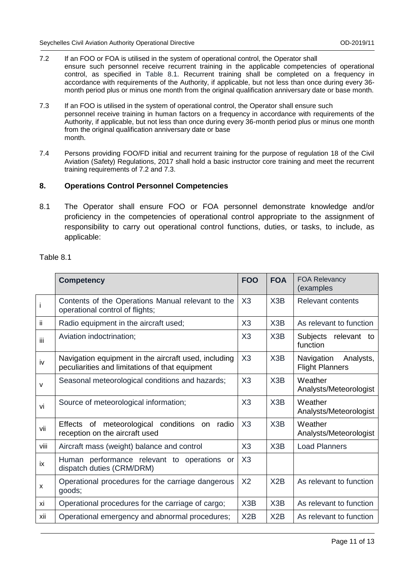#### 7.2 If an FOO or FOA is utilised in the system of operational control, the Operator shall

ensure such personnel receive recurrent training in the applicable competencies of operational control, as specified in Table 8.1. Recurrent training shall be completed on a frequency in accordance with requirements of the Authority, if applicable, but not less than once during every 36 month period plus or minus one month from the original qualification anniversary date or base month.

- 7.3 If an FOO is utilised in the system of operational control, the Operator shall ensure such personnel receive training in human factors on a frequency in accordance with requirements of the Authority, if applicable, but not less than once during every 36-month period plus or minus one month from the original qualification anniversary date or base month.
- 7.4 Persons providing FOO/FD initial and recurrent training for the purpose of regulation 18 of the Civil Aviation (Safety) Regulations, 2017 shall hold a basic instructor core training and meet the recurrent training requirements of 7.2 and 7.3.

#### **8. Operations Control Personnel Competencies**

8.1 The Operator shall ensure FOO or FOA personnel demonstrate knowledge and/or proficiency in the competencies of operational control appropriate to the assignment of responsibility to carry out operational control functions, duties, or tasks, to include, as applicable:

Table 8.1

|      | <b>Competency</b>                                                                                       | <b>FOO</b>     | <b>FOA</b> | <b>FOA Relevancy</b><br>(examples                 |
|------|---------------------------------------------------------------------------------------------------------|----------------|------------|---------------------------------------------------|
| İ    | Contents of the Operations Manual relevant to the<br>operational control of flights;                    | X3             | X3B        | <b>Relevant contents</b>                          |
| ij   | Radio equipment in the aircraft used;                                                                   | X3             | X3B        | As relevant to function                           |
| Ϊİ   | Aviation indoctrination;                                                                                | X3             | X3B        | Subjects relevant to<br>function                  |
| iv   | Navigation equipment in the aircraft used, including<br>peculiarities and limitations of that equipment | X3             | X3B        | Navigation<br>Analysts,<br><b>Flight Planners</b> |
| v    | Seasonal meteorological conditions and hazards;                                                         | X3             | X3B        | Weather<br>Analysts/Meteorologist                 |
| vi   | Source of meteorological information;                                                                   | X3             | X3B        | Weather<br>Analysts/Meteorologist                 |
| vii  | meteorological conditions on<br>Effects of<br>radio<br>reception on the aircraft used                   | X3             | X3B        | Weather<br>Analysts/Meteorologist                 |
| viii | Aircraft mass (weight) balance and control                                                              | X3             | X3B        | <b>Load Planners</b>                              |
| iх   | Human performance relevant to operations or<br>dispatch duties (CRM/DRM)                                | X3             |            |                                                   |
| X    | Operational procedures for the carriage dangerous<br>goods;                                             | X <sub>2</sub> | X2B        | As relevant to function                           |
| xi   | Operational procedures for the carriage of cargo;                                                       | X3B            | X3B        | As relevant to function                           |
| xii  | Operational emergency and abnormal procedures;                                                          | X2B            | X2B        | As relevant to function                           |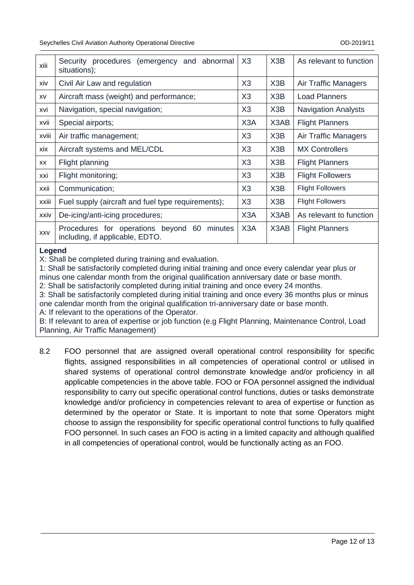| xiii       | Security procedures (emergency<br>and abnormal<br>situations);                    | X3               | X3B                           | As relevant to function    |
|------------|-----------------------------------------------------------------------------------|------------------|-------------------------------|----------------------------|
| xiv        | Civil Air Law and regulation                                                      | X3               | X3B                           | Air Traffic Managers       |
| XV         | Aircraft mass (weight) and performance;                                           | X3               | X3B                           | <b>Load Planners</b>       |
| xvi        | Navigation, special navigation;                                                   | X3               | X3B                           | <b>Navigation Analysts</b> |
| xvii       | Special airports;                                                                 | X <sub>3</sub> A | X3AB                          | <b>Flight Planners</b>     |
| xviii      | Air traffic management;                                                           | X3               | X <sub>3</sub> B              | Air Traffic Managers       |
| xix        | Aircraft systems and MEL/CDL                                                      | X3               | X <sub>3</sub> B              | <b>MX Controllers</b>      |
| XX         | Flight planning                                                                   | X3               | X3B                           | <b>Flight Planners</b>     |
| xxi        | Flight monitoring;                                                                | X3               | X3B                           | <b>Flight Followers</b>    |
| xxii       | Communication;                                                                    | X3               | X3B                           | <b>Flight Followers</b>    |
| xxiii      | Fuel supply (aircraft and fuel type requirements);                                | X3               | X3B                           | <b>Flight Followers</b>    |
| xxiv       | De-icing/anti-icing procedures;                                                   | X <sub>3</sub> A | X <sub>3</sub> A <sub>B</sub> | As relevant to function    |
| <b>XXV</b> | Procedures for operations beyond 60<br>minutes<br>including, if applicable, EDTO. | X <sub>3</sub> A | X3AB                          | <b>Flight Planners</b>     |

#### **Legend**

X: Shall be completed during training and evaluation.

1: Shall be satisfactorily completed during initial training and once every calendar year plus or minus one calendar month from the original qualification anniversary date or base month.

2: Shall be satisfactorily completed during initial training and once every 24 months.

3: Shall be satisfactorily completed during initial training and once every 36 months plus or minus one calendar month from the original qualification tri-anniversary date or base month.

A: If relevant to the operations of the Operator.

B: If relevant to area of expertise or job function (e.g Flight Planning, Maintenance Control, Load Planning, Air Traffic Management)

8.2 FOO personnel that are assigned overall operational control responsibility for specific flights, assigned responsibilities in all competencies of operational control or utilised in shared systems of operational control demonstrate knowledge and/or proficiency in all applicable competencies in the above table. FOO or FOA personnel assigned the individual responsibility to carry out specific operational control functions, duties or tasks demonstrate knowledge and/or proficiency in competencies relevant to area of expertise or function as determined by the operator or State. It is important to note that some Operators might choose to assign the responsibility for specific operational control functions to fully qualified FOO personnel. In such cases an FOO is acting in a limited capacity and although qualified in all competencies of operational control, would be functionally acting as an FOO.